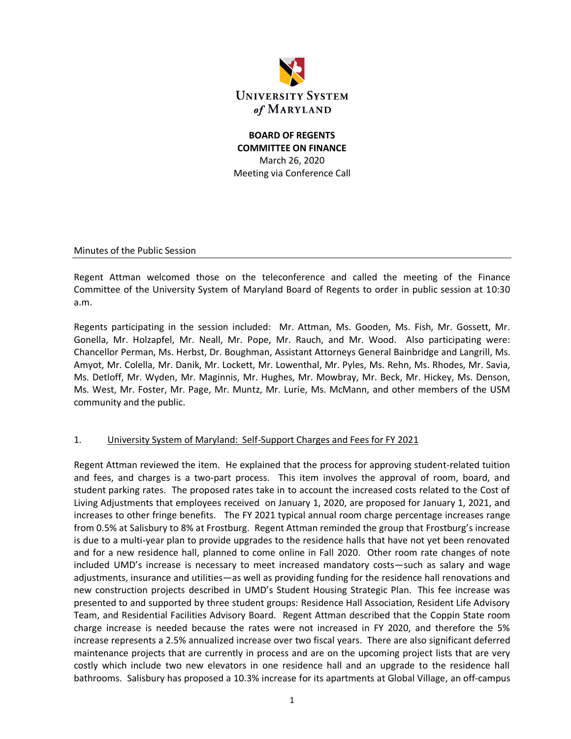

## **BOARD OF REGENTS COMMITTEE ON FINANCE** March 26, 2020 Meeting via Conference Call

Minutes of the Public Session

Regent Attman welcomed those on the teleconference and called the meeting of the Finance Committee of the University System of Maryland Board of Regents to order in public session at 10:30 a.m.

Regents participating in the session included: Mr. Attman, Ms. Gooden, Ms. Fish, Mr. Gossett, Mr. Gonella, Mr. Holzapfel, Mr. Neall, Mr. Pope, Mr. Rauch, and Mr. Wood. Also participating were: Chancellor Perman, Ms. Herbst, Dr. Boughman, Assistant Attorneys General Bainbridge and Langrill, Ms. Amyot, Mr. Colella, Mr. Danik, Mr. Lockett, Mr. Lowenthal, Mr. Pyles, Ms. Rehn, Ms. Rhodes, Mr. Savia, Ms. Detloff, Mr. Wyden, Mr. Maginnis, Mr. Hughes, Mr. Mowbray, Mr. Beck, Mr. Hickey, Ms. Denson, Ms. West, Mr. Foster, Mr. Page, Mr. Muntz, Mr. Lurie, Ms. McMann, and other members of the USM community and the public.

#### 1. University System of Maryland: Self-Support Charges and Fees for FY 2021

Regent Attman reviewed the item. He explained that the process for approving student-related tuition and fees, and charges is a two-part process. This item involves the approval of room, board, and student parking rates. The proposed rates take in to account the increased costs related to the Cost of Living Adjustments that employees received on January 1, 2020, are proposed for January 1, 2021, and increases to other fringe benefits. The FY 2021 typical annual room charge percentage increases range from 0.5% at Salisbury to 8% at Frostburg. Regent Attman reminded the group that Frostburg's increase is due to a multi-year plan to provide upgrades to the residence halls that have not yet been renovated and for a new residence hall, planned to come online in Fall 2020. Other room rate changes of note included UMD's increase is necessary to meet increased mandatory costs—such as salary and wage adjustments, insurance and utilities—as well as providing funding for the residence hall renovations and new construction projects described in UMD's Student Housing Strategic Plan. This fee increase was presented to and supported by three student groups: Residence Hall Association, Resident Life Advisory Team, and Residential Facilities Advisory Board. Regent Attman described that the Coppin State room charge increase is needed because the rates were not increased in FY 2020, and therefore the 5% increase represents a 2.5% annualized increase over two fiscal years. There are also significant deferred maintenance projects that are currently in process and are on the upcoming project lists that are very costly which include two new elevators in one residence hall and an upgrade to the residence hall bathrooms. Salisbury has proposed a 10.3% increase for its apartments at Global Village, an off-campus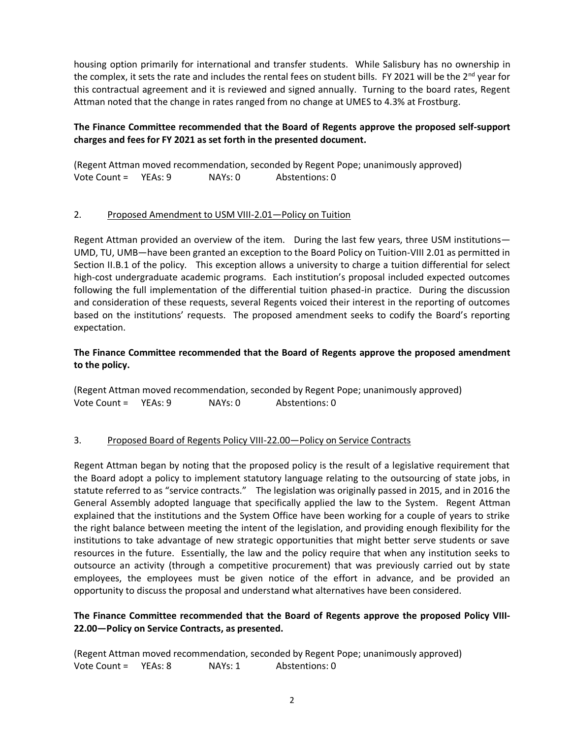housing option primarily for international and transfer students. While Salisbury has no ownership in the complex, it sets the rate and includes the rental fees on student bills. FY 2021 will be the 2<sup>nd</sup> year for this contractual agreement and it is reviewed and signed annually. Turning to the board rates, Regent Attman noted that the change in rates ranged from no change at UMES to 4.3% at Frostburg.

## **The Finance Committee recommended that the Board of Regents approve the proposed self-support charges and fees for FY 2021 as set forth in the presented document.**

(Regent Attman moved recommendation, seconded by Regent Pope; unanimously approved) Vote Count = YEAs: 9 NAYs: 0 Abstentions: 0

### 2. Proposed Amendment to USM VIII-2.01—Policy on Tuition

Regent Attman provided an overview of the item. During the last few years, three USM institutions— UMD, TU, UMB—have been granted an exception to the Board Policy on Tuition-VIII 2.01 as permitted in Section II.B.1 of the policy. This exception allows a university to charge a tuition differential for select high-cost undergraduate academic programs. Each institution's proposal included expected outcomes following the full implementation of the differential tuition phased-in practice. During the discussion and consideration of these requests, several Regents voiced their interest in the reporting of outcomes based on the institutions' requests. The proposed amendment seeks to codify the Board's reporting expectation.

## **The Finance Committee recommended that the Board of Regents approve the proposed amendment to the policy.**

(Regent Attman moved recommendation, seconded by Regent Pope; unanimously approved) Vote Count = YEAs: 9 NAYs: 0 Abstentions: 0

## 3. Proposed Board of Regents Policy VIII-22.00—Policy on Service Contracts

Regent Attman began by noting that the proposed policy is the result of a legislative requirement that the Board adopt a policy to implement statutory language relating to the outsourcing of state jobs, in statute referred to as "service contracts." The legislation was originally passed in 2015, and in 2016 the General Assembly adopted language that specifically applied the law to the System. Regent Attman explained that the institutions and the System Office have been working for a couple of years to strike the right balance between meeting the intent of the legislation, and providing enough flexibility for the institutions to take advantage of new strategic opportunities that might better serve students or save resources in the future. Essentially, the law and the policy require that when any institution seeks to outsource an activity (through a competitive procurement) that was previously carried out by state employees, the employees must be given notice of the effort in advance, and be provided an opportunity to discuss the proposal and understand what alternatives have been considered.

### **The Finance Committee recommended that the Board of Regents approve the proposed Policy VIII-22.00—Policy on Service Contracts, as presented.**

(Regent Attman moved recommendation, seconded by Regent Pope; unanimously approved) Vote Count = YEAs: 8 NAYs: 1 Abstentions: 0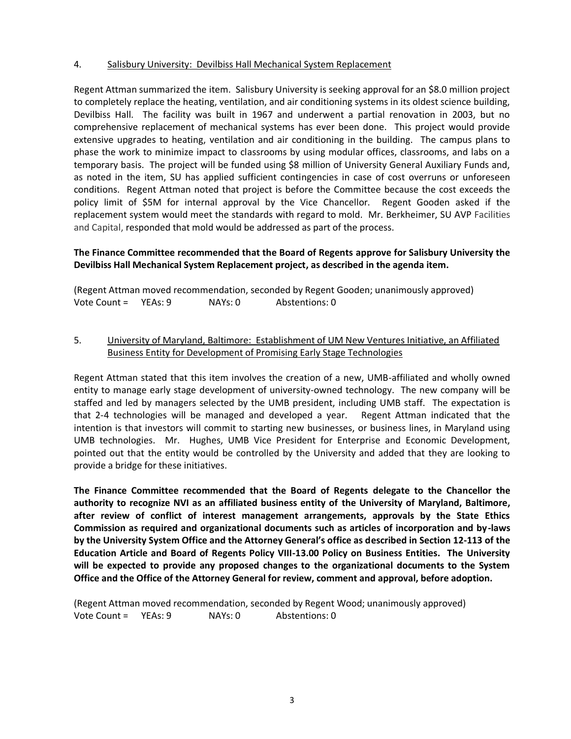#### 4. Salisbury University: Devilbiss Hall Mechanical System Replacement

Regent Attman summarized the item. Salisbury University is seeking approval for an \$8.0 million project to completely replace the heating, ventilation, and air conditioning systems in its oldest science building, Devilbiss Hall. The facility was built in 1967 and underwent a partial renovation in 2003, but no comprehensive replacement of mechanical systems has ever been done. This project would provide extensive upgrades to heating, ventilation and air conditioning in the building. The campus plans to phase the work to minimize impact to classrooms by using modular offices, classrooms, and labs on a temporary basis. The project will be funded using \$8 million of University General Auxiliary Funds and, as noted in the item, SU has applied sufficient contingencies in case of cost overruns or unforeseen conditions. Regent Attman noted that project is before the Committee because the cost exceeds the policy limit of \$5M for internal approval by the Vice Chancellor. Regent Gooden asked if the replacement system would meet the standards with regard to mold. Mr. Berkheimer, SU AVP Facilities and Capital, responded that mold would be addressed as part of the process.

#### **The Finance Committee recommended that the Board of Regents approve for Salisbury University the Devilbiss Hall Mechanical System Replacement project, as described in the agenda item.**

(Regent Attman moved recommendation, seconded by Regent Gooden; unanimously approved) Vote Count = YEAs: 9 NAYs: 0 Abstentions: 0

### 5. University of Maryland, Baltimore: Establishment of UM New Ventures Initiative, an Affiliated Business Entity for Development of Promising Early Stage Technologies

Regent Attman stated that this item involves the creation of a new, UMB-affiliated and wholly owned entity to manage early stage development of university-owned technology. The new company will be staffed and led by managers selected by the UMB president, including UMB staff. The expectation is that 2-4 technologies will be managed and developed a year. Regent Attman indicated that the intention is that investors will commit to starting new businesses, or business lines, in Maryland using UMB technologies. Mr. Hughes, UMB Vice President for Enterprise and Economic Development, pointed out that the entity would be controlled by the University and added that they are looking to provide a bridge for these initiatives.

**The Finance Committee recommended that the Board of Regents delegate to the Chancellor the authority to recognize NVI as an affiliated business entity of the University of Maryland, Baltimore, after review of conflict of interest management arrangements, approvals by the State Ethics Commission as required and organizational documents such as articles of incorporation and by-laws by the University System Office and the Attorney General's office as described in Section 12-113 of the Education Article and Board of Regents Policy VIII-13.00 Policy on Business Entities. The University will be expected to provide any proposed changes to the organizational documents to the System Office and the Office of the Attorney General for review, comment and approval, before adoption.**

(Regent Attman moved recommendation, seconded by Regent Wood; unanimously approved) Vote Count = YEAs: 9 NAYs: 0 Abstentions: 0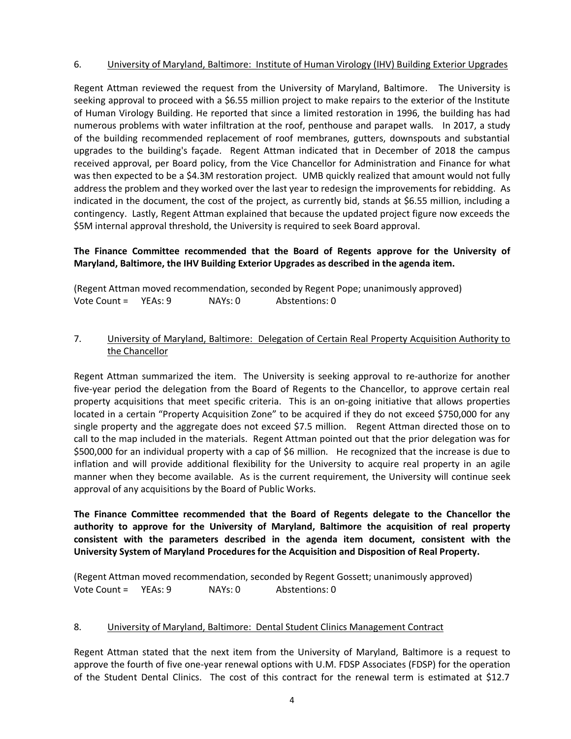### 6. University of Maryland, Baltimore: Institute of Human Virology (IHV) Building Exterior Upgrades

Regent Attman reviewed the request from the University of Maryland, Baltimore. The University is seeking approval to proceed with a \$6.55 million project to make repairs to the exterior of the Institute of Human Virology Building. He reported that since a limited restoration in 1996, the building has had numerous problems with water infiltration at the roof, penthouse and parapet walls. In 2017, a study of the building recommended replacement of roof membranes, gutters, downspouts and substantial upgrades to the building's façade. Regent Attman indicated that in December of 2018 the campus received approval, per Board policy, from the Vice Chancellor for Administration and Finance for what was then expected to be a \$4.3M restoration project. UMB quickly realized that amount would not fully address the problem and they worked over the last year to redesign the improvements for rebidding. As indicated in the document, the cost of the project, as currently bid, stands at \$6.55 million, including a contingency. Lastly, Regent Attman explained that because the updated project figure now exceeds the \$5M internal approval threshold, the University is required to seek Board approval.

## **The Finance Committee recommended that the Board of Regents approve for the University of Maryland, Baltimore, the IHV Building Exterior Upgrades as described in the agenda item.**

(Regent Attman moved recommendation, seconded by Regent Pope; unanimously approved) Vote Count = YEAs: 9 NAYs: 0 Abstentions: 0

### 7. University of Maryland, Baltimore: Delegation of Certain Real Property Acquisition Authority to the Chancellor

Regent Attman summarized the item. The University is seeking approval to re-authorize for another five-year period the delegation from the Board of Regents to the Chancellor, to approve certain real property acquisitions that meet specific criteria. This is an on-going initiative that allows properties located in a certain "Property Acquisition Zone" to be acquired if they do not exceed \$750,000 for any single property and the aggregate does not exceed \$7.5 million. Regent Attman directed those on to call to the map included in the materials. Regent Attman pointed out that the prior delegation was for \$500,000 for an individual property with a cap of \$6 million. He recognized that the increase is due to inflation and will provide additional flexibility for the University to acquire real property in an agile manner when they become available. As is the current requirement, the University will continue seek approval of any acquisitions by the Board of Public Works.

**The Finance Committee recommended that the Board of Regents delegate to the Chancellor the authority to approve for the University of Maryland, Baltimore the acquisition of real property consistent with the parameters described in the agenda item document, consistent with the University System of Maryland Procedures for the Acquisition and Disposition of Real Property.**

(Regent Attman moved recommendation, seconded by Regent Gossett; unanimously approved) Vote Count = YEAs: 9 NAYs: 0 Abstentions: 0

#### 8. University of Maryland, Baltimore: Dental Student Clinics Management Contract

Regent Attman stated that the next item from the University of Maryland, Baltimore is a request to approve the fourth of five one-year renewal options with U.M. FDSP Associates (FDSP) for the operation of the Student Dental Clinics. The cost of this contract for the renewal term is estimated at \$12.7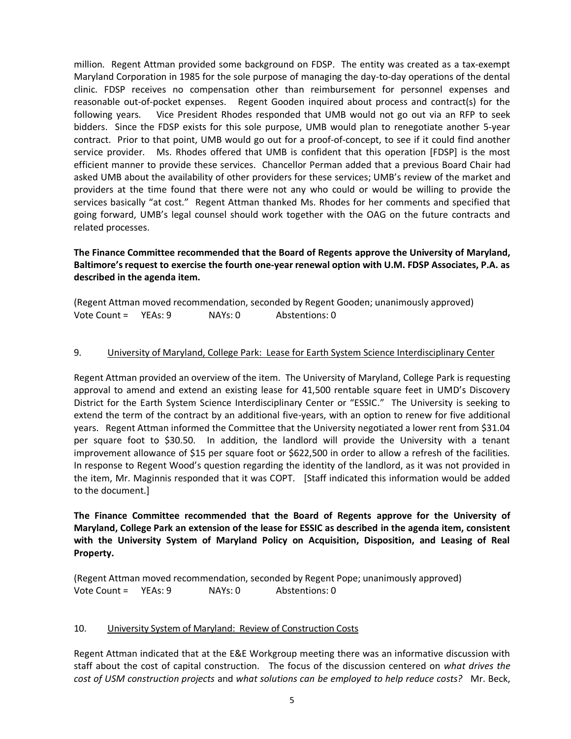million. Regent Attman provided some background on FDSP. The entity was created as a tax-exempt Maryland Corporation in 1985 for the sole purpose of managing the day-to-day operations of the dental clinic. FDSP receives no compensation other than reimbursement for personnel expenses and reasonable out-of-pocket expenses. Regent Gooden inquired about process and contract(s) for the following years. Vice President Rhodes responded that UMB would not go out via an RFP to seek bidders. Since the FDSP exists for this sole purpose, UMB would plan to renegotiate another 5-year contract. Prior to that point, UMB would go out for a proof-of-concept, to see if it could find another service provider. Ms. Rhodes offered that UMB is confident that this operation [FDSP] is the most efficient manner to provide these services. Chancellor Perman added that a previous Board Chair had asked UMB about the availability of other providers for these services; UMB's review of the market and providers at the time found that there were not any who could or would be willing to provide the services basically "at cost." Regent Attman thanked Ms. Rhodes for her comments and specified that going forward, UMB's legal counsel should work together with the OAG on the future contracts and related processes.

## **The Finance Committee recommended that the Board of Regents approve the University of Maryland, Baltimore's request to exercise the fourth one-year renewal option with U.M. FDSP Associates, P.A. as described in the agenda item.**

|                      |         |                | (Regent Attman moved recommendation, seconded by Regent Gooden; unanimously approved) |
|----------------------|---------|----------------|---------------------------------------------------------------------------------------|
| Vote Count = YEAs: 9 | NAYs: 0 | Abstentions: 0 |                                                                                       |

### 9. University of Maryland, College Park: Lease for Earth System Science Interdisciplinary Center

Regent Attman provided an overview of the item. The University of Maryland, College Park is requesting approval to amend and extend an existing lease for 41,500 rentable square feet in UMD's Discovery District for the Earth System Science Interdisciplinary Center or "ESSIC." The University is seeking to extend the term of the contract by an additional five-years, with an option to renew for five additional years. Regent Attman informed the Committee that the University negotiated a lower rent from \$31.04 per square foot to \$30.50. In addition, the landlord will provide the University with a tenant improvement allowance of \$15 per square foot or \$622,500 in order to allow a refresh of the facilities. In response to Regent Wood's question regarding the identity of the landlord, as it was not provided in the item, Mr. Maginnis responded that it was COPT. [Staff indicated this information would be added to the document.]

**The Finance Committee recommended that the Board of Regents approve for the University of Maryland, College Park an extension of the lease for ESSIC as described in the agenda item, consistent with the University System of Maryland Policy on Acquisition, Disposition, and Leasing of Real Property.**

(Regent Attman moved recommendation, seconded by Regent Pope; unanimously approved) Vote Count = YEAs: 9 NAYs: 0 Abstentions: 0

#### 10. University System of Maryland: Review of Construction Costs

Regent Attman indicated that at the E&E Workgroup meeting there was an informative discussion with staff about the cost of capital construction. The focus of the discussion centered on *what drives the cost of USM construction projects* and *what solutions can be employed to help reduce costs?* Mr. Beck,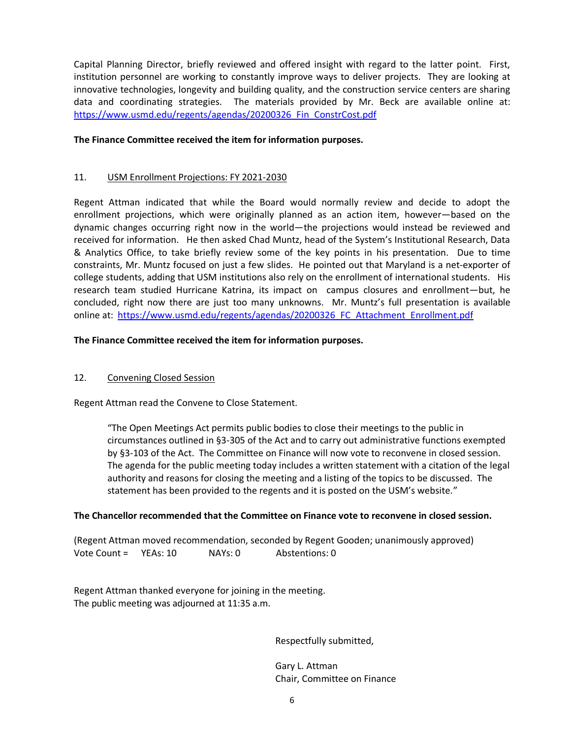Capital Planning Director, briefly reviewed and offered insight with regard to the latter point. First, institution personnel are working to constantly improve ways to deliver projects. They are looking at innovative technologies, longevity and building quality, and the construction service centers are sharing data and coordinating strategies. The materials provided by Mr. Beck are available online at: [https://www.usmd.edu/regents/agendas/20200326\\_Fin\\_ConstrCost.pdf](https://www.usmd.edu/regents/agendas/20200326_Fin_ConstrCost.pdf)

#### **The Finance Committee received the item for information purposes.**

### 11. USM Enrollment Projections: FY 2021-2030

Regent Attman indicated that while the Board would normally review and decide to adopt the enrollment projections, which were originally planned as an action item, however—based on the dynamic changes occurring right now in the world—the projections would instead be reviewed and received for information. He then asked Chad Muntz, head of the System's Institutional Research, Data & Analytics Office, to take briefly review some of the key points in his presentation. Due to time constraints, Mr. Muntz focused on just a few slides. He pointed out that Maryland is a net-exporter of college students, adding that USM institutions also rely on the enrollment of international students. His research team studied Hurricane Katrina, its impact on campus closures and enrollment—but, he concluded, right now there are just too many unknowns. Mr. Muntz's full presentation is available online at: [https://www.usmd.edu/regents/agendas/20200326\\_FC\\_Attachment\\_Enrollment.pdf](https://www.usmd.edu/regents/agendas/20200326_FC_Attachment_Enrollment.pdf)

### **The Finance Committee received the item for information purposes.**

## 12. Convening Closed Session

Regent Attman read the Convene to Close Statement.

"The Open Meetings Act permits public bodies to close their meetings to the public in circumstances outlined in §3-305 of the Act and to carry out administrative functions exempted by §3-103 of the Act. The Committee on Finance will now vote to reconvene in closed session. The agenda for the public meeting today includes a written statement with a citation of the legal authority and reasons for closing the meeting and a listing of the topics to be discussed. The statement has been provided to the regents and it is posted on the USM's website."

#### **The Chancellor recommended that the Committee on Finance vote to reconvene in closed session.**

(Regent Attman moved recommendation, seconded by Regent Gooden; unanimously approved) Vote Count = YEAs: 10 NAYs: 0 Abstentions: 0

Regent Attman thanked everyone for joining in the meeting. The public meeting was adjourned at 11:35 a.m.

Respectfully submitted,

Gary L. Attman Chair, Committee on Finance